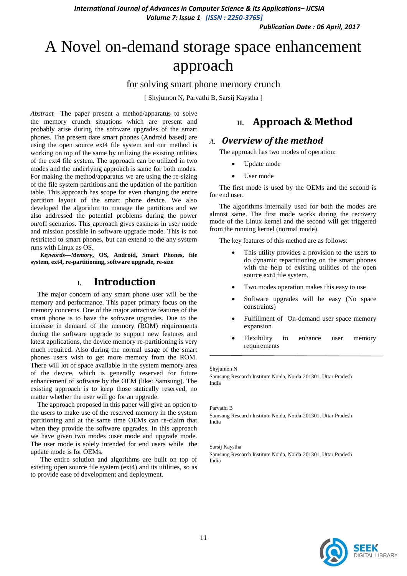*Publication Date : 06 April, 2017*

# A Novel on-demand storage space enhancement approach

#### for solving smart phone memory crunch

[ Shyjumon N, Parvathi B, Sarsij Kaystha ]

*Abstract*—The paper present a method/apparatus to solve the memory crunch situations which are present and probably arise during the software upgrades of the smart phones. The present date smart phones (Android based) are using the open source ext4 file system and our method is working on top of the same by utilizing the existing utilities of the ext4 file system. The approach can be utilized in two modes and the underlying approach is same for both modes. For making the method/apparatus we are using the re-sizing of the file system partitions and the updation of the partition table. This approach has scope for even changing the entire partition layout of the smart phone device. We also developed the algorithm to manage the partitions and we also addressed the potential problems during the power on/off scenarios. This approach gives easiness in user mode and mission possible in software upgrade mode. This is not restricted to smart phones, but can extend to the any system runs with Linux as OS.

*Keywords—Memory***, OS, Android, Smart Phones, file system, ext4, re-partitioning, software upgrade, re-size**

## **I. Introduction**

The major concern of any smart phone user will be the memory and performance. This paper primary focus on the memory concerns. One of the major attractive features of the smart phone is to have the software upgrades. Due to the increase in demand of the memory (ROM) requirements during the software upgrade to support new features and latest applications, the device memory re-partitioning is very much required. Also during the normal usage of the smart phones users wish to get more memory from the ROM. There will lot of space available in the system memory area of the device, which is generally reserved for future enhancement of software by the OEM (like: Samsung). The existing approach is to keep those statically reserved, no matter whether the user will go for an upgrade.

The approach proposed in this paper will give an option to the users to make use of the reserved memory in the system partitioning and at the same time OEMs can re-claim that when they provide the software upgrades. In this approach we have given two modes :user mode and upgrade mode. The user mode is solely intended for end users while the update mode is for OEMs.

The entire solution and algorithms are built on top of existing open source file system (ext4) and its utilities, so as to provide ease of development and deployment.

## **II. Approach & Method**

## *A. Overview of the method*

The approach has two modes of operation:

- Update mode
- User mode

The first mode is used by the OEMs and the second is for end user.

The algorithms internally used for both the modes are almost same. The first mode works during the recovery mode of the Linux kernel and the second will get triggered from the running kernel (normal mode).

The key features of this method are as follows:

- This utility provides a provision to the users to do dynamic repartitioning on the smart phones with the help of existing utilities of the open source ext4 file system.
- Two modes operation makes this easy to use
- Software upgrades will be easy (No space constraints)
- Fulfillment of On-demand user space memory expansion
- Flexibility to enhance user memory requirements

#### Shyjumon N

Samsung Research Institute Noida, Noida-201301, Uttar Pradesh India

#### Parvathi B

Samsung Research Institute Noida, Noida-201301, Uttar Pradesh India

#### Sarsij Kaystha

Samsung Research Institute Noida, Noida-201301, Uttar Pradesh India

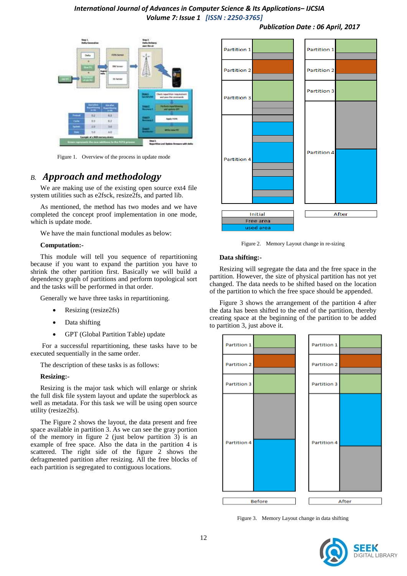

Figure 1. Overview of the process in update mode

## *B. Approach and methodology*

We are making use of the existing open source ext4 file system utilities such as e2fsck, resize2fs, and parted lib.

As mentioned, the method has two modes and we have completed the concept proof implementation in one mode, which is update mode.

We have the main functional modules as below:

#### **Computation:-**

This module will tell you sequence of repartitioning because if you want to expand the partition you have to shrink the other partition first. Basically we will build a dependency graph of partitions and perform topological sort and the tasks will be performed in that order.

Generally we have three tasks in repartitioning.

- Resizing (resize2fs)
- Data shifting
- GPT (Global Partition Table) update

For a successful repartitioning, these tasks have to be executed sequentially in the same order.

The description of these tasks is as follows:

#### **Resizing:-**

Resizing is the major task which will enlarge or shrink the full disk file system layout and update the superblock as well as metadata. For this task we will be using open source utility (resize2fs).

The Figure 2 shows the layout, the data present and free space available in partition 3. As we can see the gray portion of the memory in figure 2 (just below partition 3) is an example of free space. Also the data in the partition 4 is scattered. The right side of the figure 2 shows the defragmented partition after resizing. All the free blocks of each partition is segregated to contiguous locations.



Figure 2. Memory Layout change in re-sizing

#### **Data shifting:-**

Resizing will segregate the data and the free space in the partition. However, the size of physical partition has not yet changed. The data needs to be shifted based on the location of the partition to which the free space should be appended.

Figure 3 shows the arrangement of the partition 4 after the data has been shifted to the end of the partition, thereby creating space at the beginning of the partition to be added to partition 3, just above it.



Figure 3. Memory Layout change in data shifting

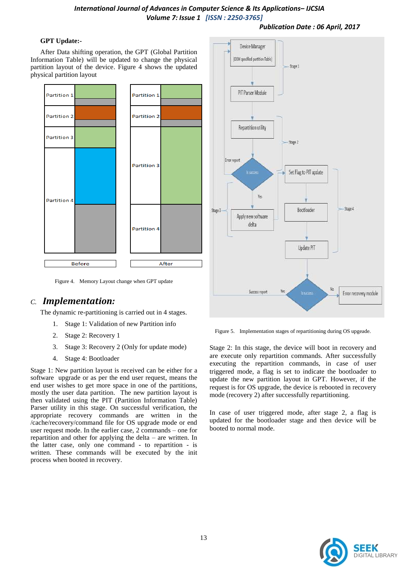#### *Publication Date : 06 April, 2017*

#### **GPT Update:-**

After Data shifting operation, the GPT (Global Partition Information Table) will be updated to change the physical partition layout of the device. Figure 4 shows the updated physical partition layout



Figure 4. Memory Layout change when GPT update

#### *C. Implementation:*

The dynamic re-partitioning is carried out in 4 stages.

- 1. Stage 1: Validation of new Partition info
- 2. Stage 2: Recovery 1
- 3. Stage 3: Recovery 2 (Only for update mode)
- 4. Stage 4: Bootloader

Stage 1: New partition layout is received can be either for a software upgrade or as per the end user request, means the end user wishes to get more space in one of the partitions, mostly the user data partition. The new partition layout is then validated using the PIT (Partition Information Table) Parser utility in this stage. On successful verification, the appropriate recovery commands are written in the /cache/recovery/command file for OS upgrade mode or end user request mode. In the earlier case, 2 commands – one for repartition and other for applying the delta – are written. In the latter case, only one command - to repartition - is written. These commands will be executed by the init process when booted in recovery.



Figure 5. Implementation stages of repartitioning during OS upgeade.

Stage 2: In this stage, the device will boot in recovery and are execute only repartition commands. After successfully executing the repartition commands, in case of user triggered mode, a flag is set to indicate the bootloader to update the new partition layout in GPT. However, if the request is for OS upgrade, the device is rebooted in recovery mode (recovery 2) after successfully repartitioning.

In case of user triggered mode, after stage 2, a flag is updated for the bootloader stage and then device will be booted to normal mode.

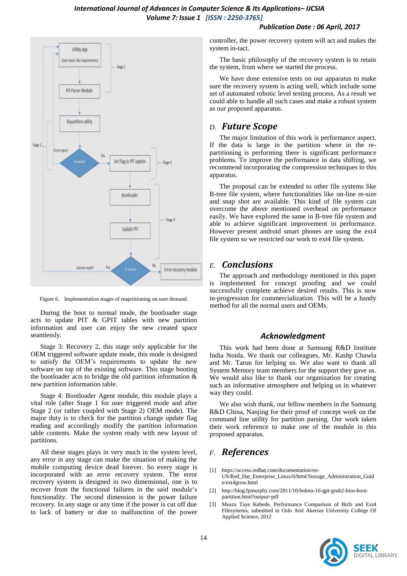#### *Publication Date : 06 April, 2017*



Figure 6. Implementation stages of reaprtitioning on user demand.

During the boot to normal mode, the bootloader stage acts to update PIT & GPIT tables with new partition information and user can enjoy the new created space seamlessly.

Stage 3: Recovery 2, this stage only applicable for the OEM triggered software update mode, this mode is designed to satisfy the OEM's requirements to update the new software on top of the existing software. This stage booting the bootloader acts to bridge the old partition information & new partition information table.

Stage 4: Bootloader Agent module, this module plays a vital role (after Stage 1 for user triggered mode and after Stage 2 (or rather coupled with Stage 2) OEM mode). The major duty is to check for the partition change update flag reading and accordingly modify the partition information table contents. Make the system ready with new layout of partitions.

All these stages plays in very much in the system level, any error in any stage can make the situation of making the mobile computing device dead forever. So every stage is incorporated with an error recovery system. The error recovery system is designed in two dimensional, one is to recover from the functional failures in the said module's functionality. The second dimension is the power failure recovery. In any stage or any time if the power is cut off due to lack of battery or due to malfunction of the power

controller, the power recovery system will act and makes the system in-tact.

The basic philosophy of the recovery system is to retain the system, from where we started the process.

We have done extensive tests on our apparatus to make sure the recovery system is acting well, which include some set of automated robotic level testing process. As a result we could able to handle all such cases and make a robust system as our proposed apparatus.

### *D. Future Scope*

The major limitation of this work is performance aspect. If the data is large in the partition where in the repartitioning is performing there is significant performance problems. To improve the performance in data shifting, we recommend incorporating the compression techniques to this apparatus.

The proposal can be extended to other file systems like B-tree file system, where functionalities like on-line re-size and snap shot are available. This kind of file system can overcome the above mentioned overhead on performance easily. We have explored the same in B-tree file system and able to achieve significant improvement in performance. However present android smart phones are using the ext4 file system so we restricted our work to ext4 file system.

### *E. Conclusions*

The approach and methodology mentioned in this paper is implemented for concept proofing and we could successfully complete achieve desired results. This is now in-progression for commercialization. This will be a handy method for all the normal users and OEMs.

#### *Acknowledgment*

This work had been done at Samsung R&D Institute India Noida. We thank our colleagues, Mr. Kashp Chawla and Mr. Tarun for helping us. We also want to thank all System Memory team members for the support they gave us. We would also like to thank our organization for creating such an informative atmosphere and helping us in whatever way they could.

We also wish thank, our fellow members in the Samsung R&D China, Nanjing for their proof of concept work on the command line utility for partition parsing. Our work taken their work reference to make one of the module in this proposed apparatus.

## *F. References*

- [1] [https://access.redhat.com/documentation/en-](https://access.redhat.com/documentation/en-US/Red_Hat_Enterprise_Linux/6/html/Storage_Administration_Guide/ext4grow.html)[US/Red\\_Hat\\_Enterprise\\_Linux/6/html/Storage\\_Administration\\_Guid](https://access.redhat.com/documentation/en-US/Red_Hat_Enterprise_Linux/6/html/Storage_Administration_Guide/ext4grow.html) [e/ext4grow.html](https://access.redhat.com/documentation/en-US/Red_Hat_Enterprise_Linux/6/html/Storage_Administration_Guide/ext4grow.html)
- [2] [http://blog.fpmurphy.com/2011/10/fedora-16-gpt-grub2-bios-boot](http://blog.fpmurphy.com/2011/10/fedora-16-gpt-grub2-bios-boot-partition.html?output=pdf)[partition.html?output=pdf](http://blog.fpmurphy.com/2011/10/fedora-16-gpt-grub2-bios-boot-partition.html?output=pdf)
- Meaza Taye Kebede, Performance Comparison of Btrfs and Ext4 Filesystems, submitted in Oslo And Akersus University College Of Applied Science, 2012